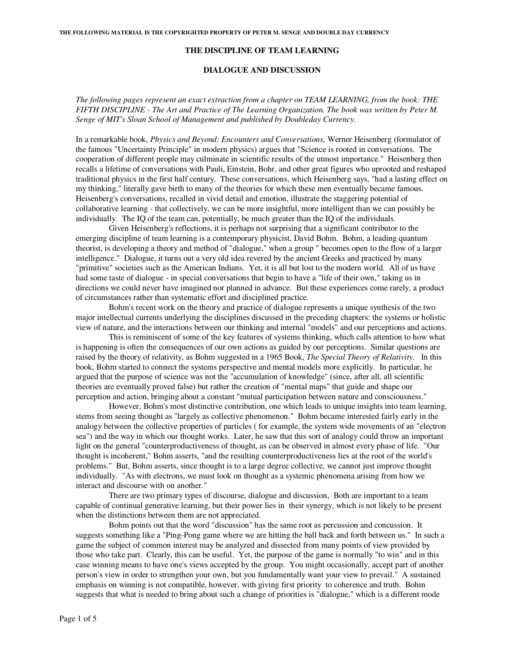# **THE DISCIPLINE OF TEAM LEARNING**

### **DIALOGUE AND DISCUSSION**

*The following pages represent an exact extraction from a chapter on TEAM LEARNING, from the book: THE* FIFTH DISCIPLINE - The Art and Practice of The Learning Organization. The book was written by Peter M. *Senge of MIT's Sloan School of Management and published by Doubleday Currency.*

In a remarkable book, *Physics and Beyond: Encounters and Conversations,* Werner Heisenberg (formulator of the famous "Uncertainty Principle" in modern physics) argues that "Science is rooted in conversations. The cooperation of different people may culminate in scientific results of the utmost importance." Heisenberg then recalls a lifetime of conversations with Pauli, Einstein, Bohr, and other great figures who uprooted and reshaped traditional physics in the first half century. These conversations, which Heisenberg says, "had a lasting effect on my thinking," literally gave birth to many of the theories for which these men eventually became famous. Heisenberg's conversations, recalled in vivid detail and emotion, illustrate the staggering potential of collaborative learning - that collectively, we can be more insightful, more intelligent than we can possibly be individually. The IQ of the team can, potentially, be much greater than the IQ of the individuals.

Given Heisenberg's reflections, it is perhaps not surprising that a significant contributor to the emerging discipline of team learning is a contemporary physicist, David Bohm. Bohm, a leading quantum theorist, is developing a theory and method of "dialogue," when a group " becomes open to the flow of a larger intelligence." Dialogue, it turns out a very old idea revered by the ancient Greeks and practiced by many "primitive" societies such as the American Indians. Yet, it is all but lost to the modern world. All of us have had some taste of dialogue - in special conversations that begin to have a "life of their own," taking us in directions we could never have imagined nor planned in advance. But these experiences come rarely, a product of circumstances rather than systematic effort and disciplined practice.

Bohm's recent work on the theory and practice of dialogue represents a unique synthesis of the two major intellectual currents underlying the disciplines discussed in the preceding chapters: the systems or holistic view of nature, and the interactions between our thinking and internal "models" and our perceptions and actions.

This is reminiscent of some of the key features of systems thinking, which calls attention to how what is happening is often the consequences of our own actions as guided by our perceptions. Similar questions are raised by the theory of relativity, as Bohm suggested in a 1965 Book, *The Special Theory of Relativity.* In this book, Bohm started to connect the systems perspective and mental models more explicitly. In particular, he argued that the purpose of science was not the "accumulation of knowledge" (since, after all, all scientific theories are eventually proved false) but rather the creation of "mental maps" that guide and shape our perception and action, bringing about a constant "mutual participation between nature and consciousness."

However, Bohm's most distinctive contribution, one which leads to unique insights into team learning, stems from seeing thought as "largely as collective phenomenon." Bohm became interested fairly early in the analogy between the collective properties of particles ( for example, the system wide movements of an "electron sea") and the way in which our thought works. Later, he saw that this sort of analogy could throw an important light on the general "counterproductiveness of thought, as can be observed in almost every phase of life. "Our thought is incoherent," Bohm asserts, "and the resulting counterproductiveness lies at the root of the world's problems." But, Bohm asserts, since thought is to a large degree collective, we cannot just improve thought individually. "As with electrons, we must look on thought as a systemic phenomena arising from how we interact and discourse with on another."

There are two primary types of discourse, dialogue and discussion, Both are important to a team capable of continual generative learning, but their power lies in their synergy, which is not likely to be present when the distinctions between them are not appreciated.

Bohm points out that the word "discussion" has the same root as percussion and concussion. It suggests something like a "Ping-Pong game where we are hitting the ball back and forth between us." In such a game the subject of common interest may be analyzed and dissected from many points of view provided by those who take part. Clearly, this can be useful. Yet, the purpose of the game is normally "to win" and in this case winning means to have one's views accepted by the group. You might occasionally, accept part of another person's view in order to strengthen your own, but you fundamentally want your view to prevail." A sustained emphasis on winning is not compatible, however, with giving first priority to coherence and truth. Bohm suggests that what is needed to bring about such a change of priorities is "dialogue," which is a different mode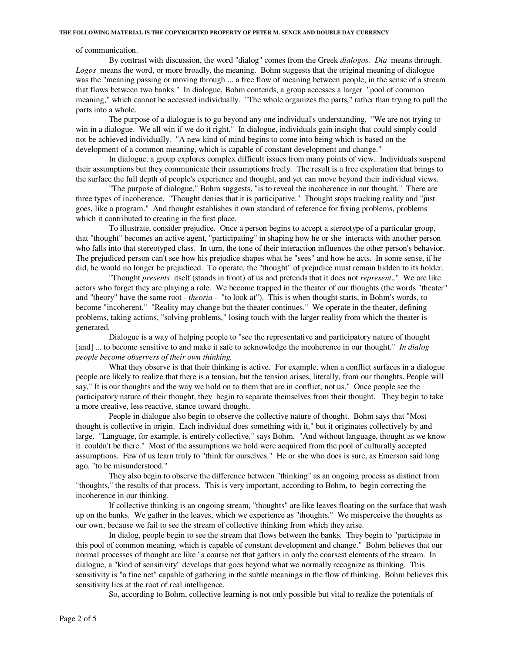#### **THE FOLLOWING MATERIAL IS THE COPYRIGHTED PROPERTY OF PETER M. SENGE AND DOUBLE DAY CURRENCY**

of communication.

By contrast with discussion, the word "dialog" comes from the Greek *dialogos. Dia* means through. *Logos* means the word, or more broadly, the meaning. Bohm suggests that the original meaning of dialogue was the "meaning passing or moving through ... a free flow of meaning between people, in the sense of a stream that flows between two banks." In dialogue, Bohm contends, a group accesses a larger "pool of common meaning," which cannot be accessed individually. "The whole organizes the parts," rather than trying to pull the parts into a whole.

The purpose of a dialogue is to go beyond any one individual's understanding. "We are not trying to win in a dialogue. We all win if we do it right." In dialogue, individuals gain insight that could simply could not be achieved individually. "A new kind of mind begins to come into being which is based on the development of a common meaning, which is capable of constant development and change."

In dialogue, a group explores complex difficult issues from many points of view. Individuals suspend their assumptions but they communicate their assumptions freely. The result is a free exploration that brings to the surface the full depth of people's experience and thought, and yet can move beyond their individual views.

"The purpose of dialogue," Bohm suggests, "is to reveal the incoherence in our thought." There are three types of incoherence. "Thought denies that it is participative." Thought stops tracking reality and "just goes, like a program." And thought establishes it own standard of reference for fixing problems, problems which it contributed to creating in the first place.

To illustrate, consider prejudice. Once a person begins to accept a stereotype of a particular group, that "thought" becomes an active agent, "participating" in shaping how he or she interacts with another person who falls into that stereotyped class. In turn, the tone of their interaction influences the other person's behavior. The prejudiced person can't see how his prejudice shapes what he "sees" and how he acts. In some sense, if he did, he would no longer be prejudiced. To operate, the "thought" of prejudice must remain hidden to its holder.

"Thought *presents* itself (stands in front) of us and pretends that it does not *represent*.." We are like actors who forget they are playing a role. We become trapped in the theater of our thoughts (the words "theater" and "theory" have the same root - *theoria -* "to look at"). This is when thought starts, in Bohm's words, to become "incoherent." "Reality may change but the theater continues." We operate in the theater, defining problems, taking actions, "solving problems," losing touch with the larger reality from which the theater is generated.

Dialogue is a way of helping people to "see the representative and participatory nature of thought [and] ... to become sensitive to and make it safe to acknowledge the incoherence in our thought." *In dialog people become observers of their own thinking.*

What they observe is that their thinking is active. For example, when a conflict surfaces in a dialogue people are likely to realize that there is a tension, but the tension arises, literally, from our thoughts. People will say," It is our thoughts and the way we hold on to them that are in conflict, not us." Once people see the participatory nature of their thought, they begin to separate themselves from their thought. They begin to take a more creative, less reactive, stance toward thought.

People in dialogue also begin to observe the collective nature of thought. Bohm says that "Most thought is collective in origin. Each individual does something with it," but it originates collectively by and large. "Language, for example, is entirely collective," says Bohm. "And without language, thought as we know it couldn't be there." Most of the assumptions we hold were acquired from the pool of culturally accepted assumptions. Few of us learn truly to "think for ourselves." He or she who does is sure, as Emerson said long ago, "to be misunderstood."

They also begin to observe the difference between "thinking" as an ongoing process as distinct from "thoughts," the results of that process. This is very important, according to Bohm, to begin correcting the incoherence in our thinking.

If collective thinking is an ongoing stream, "thoughts" are like leaves floating on the surface that wash up on the banks. We gather in the leaves, which we experience as "thoughts." We misperceive the thoughts as our own, because we fail to see the stream of collective thinking from which they arise.

In dialog, people begin to see the stream that flows between the banks. They begin to "participate in this pool of common meaning, which is capable of constant development and change." Bohm believes that our normal processes of thought are like "a course net that gathers in only the coarsest elements of the stream. In dialogue, a "kind of sensitivity" develops that goes beyond what we normally recognize as thinking. This sensitivity is "a fine net" capable of gathering in the subtle meanings in the flow of thinking. Bohm believes this sensitivity lies at the root of real intelligence.

So, according to Bohm, collective learning is not only possible but vital to realize the potentials of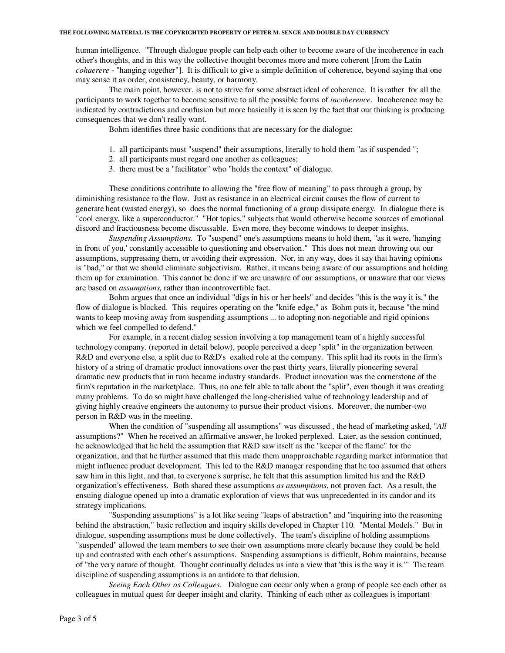human intelligence. "Through dialogue people can help each other to become aware of the incoherence in each other's thoughts, and in this way the collective thought becomes more and more coherent [from the Latin *cohaerere* - "hanging together"]. It is difficult to give a simple definition of coherence, beyond saying that one may sense it as order, consistency, beauty, or harmony.

The main point, however, is not to strive for some abstract ideal of coherence. It is rather for all the participants to work together to become sensitive to all the possible forms of *incoherence*. Incoherence may be indicated by contradictions and confusion but more basically it is seen by the fact that our thinking is producing consequences that we don't really want.

Bohm identifies three basic conditions that are necessary for the dialogue:

- 1. all participants must "suspend" their assumptions, literally to hold them "as if suspended ";
- 2. all participants must regard one another as colleagues;
- 3. there must be a "facilitator" who "holds the context" of dialogue.

These conditions contribute to allowing the "free flow of meaning" to pass through a group, by diminishing resistance to the flow. Just as resistance in an electrical circuit causes the flow of current to generate heat (wasted energy), so does the normal functioning of a group dissipate energy. In dialogue there is "cool energy, like a superconductor." "Hot topics," subjects that would otherwise become sources of emotional discord and fractiousness become discussable. Even more, they become windows to deeper insights.

*Suspending Assumptions.* To "suspend" one's assumptions means to hold them, "as it were, 'hanging in front of you,' constantly accessible to questioning and observation." This does not mean throwing out our assumptions, suppressing them, or avoiding their expression. Nor, in any way, does it say that having opinions is "bad," or that we should eliminate subjectivism. Rather, it means being aware of our assumptions and holding them up for examination. This cannot be done if we are unaware of our assumptions, or unaware that our views are based on *assumptions,* rather than incontrovertible fact.

Bohm argues that once an individual "digs in his or her heels" and decides "this is the way it is," the flow of dialogue is blocked. This requires operating on the "knife edge," as Bohm puts it, because "the mind wants to keep moving away from suspending assumptions ... to adopting non-negotiable and rigid opinions which we feel compelled to defend."

For example, in a recent dialog session involving a top management team of a highly successful technology company. (reported in detail below), people perceived a deep "split" in the organization between R&D and everyone else, a split due to R&D's exalted role at the company. This split had its roots in the firm's history of a string of dramatic product innovations over the past thirty years, literally pioneering several dramatic new products that in turn became industry standards. Product innovation was the cornerstone of the firm's reputation in the marketplace. Thus, no one felt able to talk about the "split", even though it was creating many problems. To do so might have challenged the long-cherished value of technology leadership and of giving highly creative engineers the autonomy to pursue their product visions. Moreover, the number-two person in R&D was in the meeting.

When the condition of "suspending all assumptions" was discussed , the head of marketing asked, "*All* assumptions?" When he received an affirmative answer, he looked perplexed. Later, as the session continued, he acknowledged that he held the assumption that R&D saw itself as the "keeper of the flame" for the organization, and that he further assumed that this made them unapproachable regarding market information that might influence product development. This led to the R&D manager responding that he too assumed that others saw him in this light, and that, to everyone's surprise, he felt that this assumption limited his and the R&D organization's effectiveness. Both shared these assumptions *as assumptions*, not proven fact. As a result, the ensuing dialogue opened up into a dramatic exploration of views that was unprecedented in its candor and its strategy implications.

"Suspending assumptions" is a lot like seeing "leaps of abstraction" and "inquiring into the reasoning behind the abstraction," basic reflection and inquiry skills developed in Chapter 110. "Mental Models." But in dialogue, suspending assumptions must be done collectively. The team's discipline of holding assumptions "suspended" allowed the team members to see their own assumptions more clearly because they could be held up and contrasted with each other's assumptions. Suspending assumptions is difficult, Bohm maintains, because of "the very nature of thought. Thought continually deludes us into a view that 'this is the way it is.'" The team discipline of suspending assumptions is an antidote to that delusion.

*Seeing Each Other as Colleagues.* Dialogue can occur only when a group of people see each other as colleagues in mutual quest for deeper insight and clarity. Thinking of each other as colleagues is important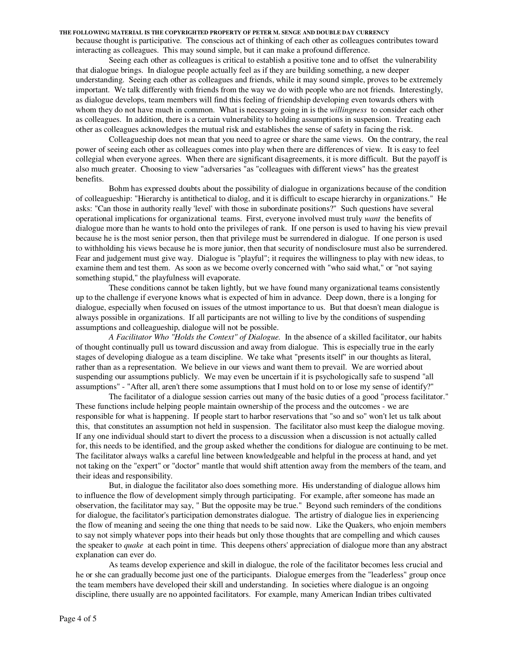# **THE FOLLOWING MATERIAL IS THE COPYRIGHTED PROPERTY OF PETER M. SENGE AND DOUBLE DAY CURRENCY** because thought is participative. The conscious act of thinking of each other as colleagues contributes toward interacting as colleagues. This may sound simple, but it can make a profound difference.

Seeing each other as colleagues is critical to establish a positive tone and to offset the vulnerability that dialogue brings. In dialogue people actually feel as if they are building something, a new deeper understanding. Seeing each other as colleagues and friends, while it may sound simple, proves to be extremely important. We talk differently with friends from the way we do with people who are not friends. Interestingly, as dialogue develops, team members will find this feeling of friendship developing even towards others with whom they do not have much in common. What is necessary going in is the *willingness* to consider each other as colleagues. In addition, there is a certain vulnerability to holding assumptions in suspension. Treating each other as colleagues acknowledges the mutual risk and establishes the sense of safety in facing the risk.

Colleagueship does not mean that you need to agree or share the same views. On the contrary, the real power of seeing each other as colleagues comes into play when there are differences of view. It is easy to feel collegial when everyone agrees. When there are significant disagreements, it is more difficult. But the payoff is also much greater. Choosing to view "adversaries "as "colleagues with different views" has the greatest benefits.

Bohm has expressed doubts about the possibility of dialogue in organizations because of the condition of colleagueship: "Hierarchy is antithetical to dialog, and it is difficult to escape hierarchy in organizations." He asks: "Can those in authority really 'level' with those in subordinate positions?" Such questions have several operational implications for organizational teams. First, everyone involved must truly *want* the benefits of dialogue more than he wants to hold onto the privileges of rank. If one person is used to having his view prevail because he is the most senior person, then that privilege must be surrendered in dialogue. If one person is used to withholding his views because he is more junior, then that security of nondisclosure must also be surrendered. Fear and judgement must give way. Dialogue is "playful"; it requires the willingness to play with new ideas, to examine them and test them. As soon as we become overly concerned with "who said what," or "not saying something stupid," the playfulness will evaporate.

These conditions cannot be taken lightly, but we have found many organizational teams consistently up to the challenge if everyone knows what is expected of him in advance. Deep down, there is a longing for dialogue, especially when focused on issues of the utmost importance to us. But that doesn't mean dialogue is always possible in organizations. If all participants are not willing to live by the conditions of suspending assumptions and colleagueship, dialogue will not be possible.

*A Facilitator Who "Holds the Context" of Dialogue.* In the absence of a skilled facilitator, our habits of thought continually pull us toward discussion and away from dialogue. This is especially true in the early stages of developing dialogue as a team discipline. We take what "presents itself" in our thoughts as literal, rather than as a representation. We believe in our views and want them to prevail. We are worried about suspending our assumptions publicly. We may even be uncertain if it is psychologically safe to suspend "all assumptions" - "After all, aren't there some assumptions that I must hold on to or lose my sense of identify?"

The facilitator of a dialogue session carries out many of the basic duties of a good "process facilitator." These functions include helping people maintain ownership of the process and the outcomes - we are responsible for what is happening. If people start to harbor reservations that "so and so" won't let us talk about this, that constitutes an assumption not held in suspension. The facilitator also must keep the dialogue moving. If any one individual should start to divert the process to a discussion when a discussion is not actually called for, this needs to be identified, and the group asked whether the conditions for dialogue are continuing to be met. The facilitator always walks a careful line between knowledgeable and helpful in the process at hand, and yet not taking on the "expert" or "doctor" mantle that would shift attention away from the members of the team, and their ideas and responsibility.

But, in dialogue the facilitator also does something more. His understanding of dialogue allows him to influence the flow of development simply through participating. For example, after someone has made an observation, the facilitator may say, " But the opposite may be true." Beyond such reminders of the conditions for dialogue, the facilitator's participation demonstrates dialogue. The artistry of dialogue lies in experiencing the flow of meaning and seeing the one thing that needs to be said now. Like the Quakers, who enjoin members to say not simply whatever pops into their heads but only those thoughts that are compelling and which causes the speaker to *quake* at each point in time. This deepens others' appreciation of dialogue more than any abstract explanation can ever do.

As teams develop experience and skill in dialogue, the role of the facilitator becomes less crucial and he or she can gradually become just one of the participants. Dialogue emerges from the "leaderless" group once the team members have developed their skill and understanding. In societies where dialogue is an ongoing discipline, there usually are no appointed facilitators. For example, many American Indian tribes cultivated